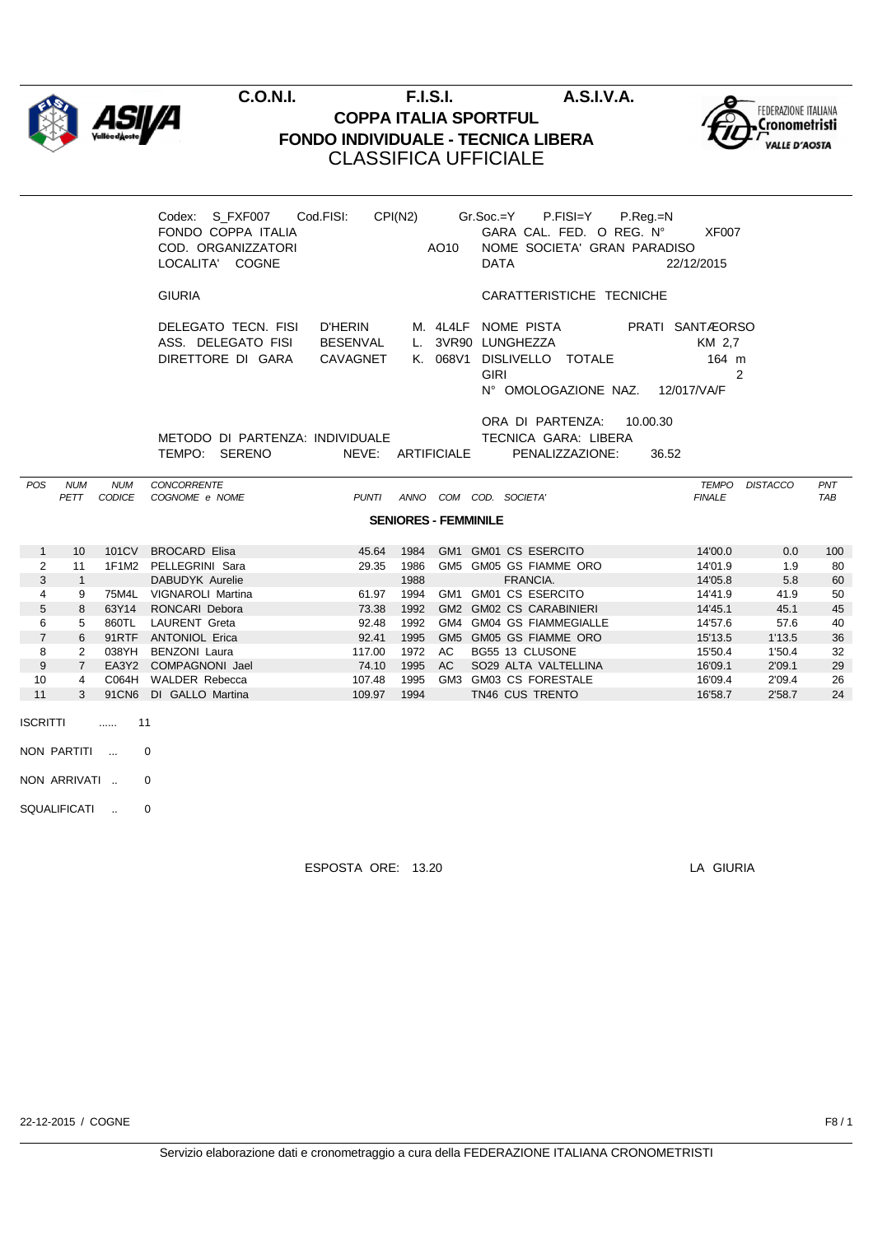

## **C.O.N.I. F.I.S.I. A.S.I.V.A. COPPA ITALIA SPORTFUL FONDO INDIVIDUALE - TECNICA LIBERA** CLASSIFICA UFFICIALE



|                |                |            | Codex: S_FXF007 Cod.FISI:<br>FONDO COPPA ITALIA<br>COD. ORGANIZZATORI<br>LOCALITA' COGNE |              |      | AO10                        | CPI(N2) Gr.Soc.=Y P.FISI=Y P.Reg.=N<br>GARA CAL. FED. O REG. N°<br>NOME SOCIETA' GRAN PARADISO<br><b>DATA</b>                     | <b>XF007</b><br>22/12/2015 |                |            |
|----------------|----------------|------------|------------------------------------------------------------------------------------------|--------------|------|-----------------------------|-----------------------------------------------------------------------------------------------------------------------------------|----------------------------|----------------|------------|
|                |                |            | <b>GIURIA</b>                                                                            |              |      |                             | CARATTERISTICHE TECNICHE                                                                                                          |                            |                |            |
|                |                |            | DELEGATO TECN. FISI D'HERIN<br>ASS. DELEGATO FISI BESENVAL<br>DIRETTORE DI GARA          | CAVAGNET     |      | K. 068V1                    | M. 4L4LF NOME PISTA PRATI SANTÆORSO<br>L. 3VR90 LUNGHEZZA<br>DISLIVELLO TOTALE<br><b>GIRI</b><br>N° OMOLOGAZIONE NAZ. 12/017/VA/F | KM 2.7<br>164 m            | $\overline{2}$ |            |
|                |                |            | METODO DI PARTENZA: INDIVIDUALE                                                          |              |      |                             | ORA DI PARTENZA: 10.00.30<br>TECNICA GARA: LIBERA                                                                                 |                            |                |            |
|                |                |            | TEMPO: SERENO                                                                            |              |      |                             | NEVE: ARTIFICIALE PENALIZZAZIONE:                                                                                                 | 36.52                      |                |            |
| POS            | <b>NUM</b>     | <b>NUM</b> | CONCORRENTE                                                                              |              |      |                             |                                                                                                                                   |                            | TEMPO DISTACCO | PNT        |
|                | PETT           | CODICE     | COGNOME e NOME                                                                           | <b>PUNTI</b> |      |                             | ANNO COM COD. SOCIETA'                                                                                                            | <b>FINALE</b>              |                | <b>TAB</b> |
|                |                |            |                                                                                          |              |      | <b>SENIORES - FEMMINILE</b> |                                                                                                                                   |                            |                |            |
| $\mathbf{1}$   | 10             | 101CV      | <b>BROCARD Elisa</b>                                                                     | 45.64        | 1984 |                             | GM1 GM01 CS ESERCITO                                                                                                              | 14'00.0                    | 0.0            | 100        |
| $\overline{2}$ | 11             |            | 1F1M2 PELLEGRINI Sara                                                                    | 29.35        | 1986 |                             | GM5 GM05 GS FIAMME ORO                                                                                                            | 14'01.9                    | 1.9            | 80         |
| 3              | $\overline{1}$ |            | DABUDYK Aurelie                                                                          |              | 1988 |                             | FRANCIA.                                                                                                                          | 14'05.8                    | 5.8            | 60         |
| 4              | 9              |            | 75M4L VIGNAROLI Martina                                                                  | 61.97        | 1994 |                             | GM1 GM01 CS ESERCITO                                                                                                              | 14'41.9                    | 41.9           | 50         |
| 5              | 8              | 63Y14      | RONCARI Debora                                                                           | 73.38        | 1992 |                             | GM2 GM02 CS CARABINIERI                                                                                                           | 14'45.1                    | 45.1           | 45         |
| 6              |                |            |                                                                                          |              |      |                             |                                                                                                                                   |                            |                | 40         |
|                | 5              | 860TL      | <b>LAURENT Greta</b>                                                                     | 92.48        | 1992 |                             | GM4 GM04 GS FIAMMEGIALLE                                                                                                          | 14'57.6                    | 57.6           |            |
| $\overline{7}$ | 6              |            | 91RTF ANTONIOL Erica                                                                     | 92.41        | 1995 |                             | GM5 GM05 GS FIAMME ORO                                                                                                            | 15'13.5                    | 1'13.5         | 36         |
| 8              | $\overline{2}$ | 038YH      | <b>BENZONI Laura</b>                                                                     | 117.00       | 1972 | AC                          | BG55 13 CLUSONE                                                                                                                   | 15'50.4                    | 1'50.4         | 32         |
| 9              | $7^{\circ}$    |            | EA3Y2 COMPAGNONI Jael                                                                    | 74.10        | 1995 | AC                          | SO29 ALTA VALTELLINA                                                                                                              | 16'09.1                    | 2'09.1         | 29         |
| 10             | 4              |            | C064H WALDER Rebecca                                                                     | 107.48       | 1995 |                             | GM3 GM03 CS FORESTALE                                                                                                             | 16'09.4                    | 2'09.4         | 26         |
| 11             | 3              |            | 91CN6 DI GALLO Martina                                                                   | 109.97       | 1994 |                             | TN46 CUS TRENTO                                                                                                                   | 16'58.7                    | 2'58.7         | 24         |

- NON PARTITI ... 0
- NON ARRIVATI .. 0
- SQUALIFICATI .. 0

ESPOSTA ORE: 13.20 LA GIURIA

22-12-2015 / COGNE F8 / 1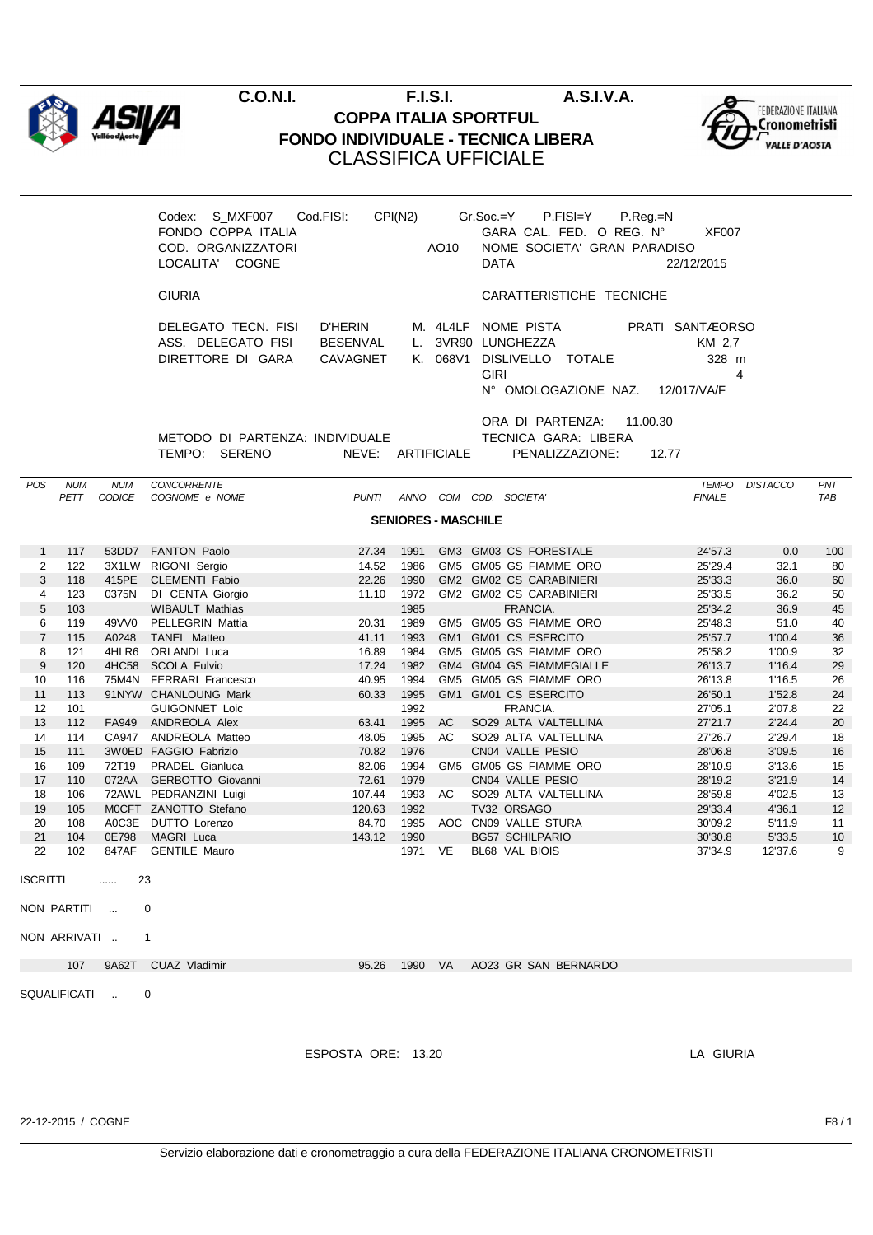

## **C.O.N.I. F.I.S.I. A.S.I.V.A. COPPA ITALIA SPORTFUL FONDO INDIVIDUALE - TECNICA LIBERA** CLASSIFICA UFFICIALE



|                       |              |               | Codex: S_MXF007<br>FONDO COPPA ITALIA<br>COD. ORGANIZZATORI<br>LOCALITA' COGNE | Cod.FISI:                                     | CPI(N2)                    | AO10    | Gr.Soc.=Y P.FISI=Y<br>P.Reg.=N<br>GARA CAL. FED. O REG. Nº<br>NOME SOCIETA' GRAN PARADISO<br><b>DATA</b>       | XF007<br>22/12/2015                                    |                  |          |
|-----------------------|--------------|---------------|--------------------------------------------------------------------------------|-----------------------------------------------|----------------------------|---------|----------------------------------------------------------------------------------------------------------------|--------------------------------------------------------|------------------|----------|
|                       |              |               | <b>GIURIA</b>                                                                  |                                               |                            |         | CARATTERISTICHE TECNICHE                                                                                       |                                                        |                  |          |
|                       |              |               | DELEGATO TECN. FISI<br>ASS. DELEGATO FISI<br>DIRETTORE DI GARA                 | <b>D'HERIN</b><br><b>BESENVAL</b><br>CAVAGNET |                            |         | M. 4L4LF NOME PISTA<br>L. 3VR90 LUNGHEZZA<br>K. 068V1 DISLIVELLO TOTALE<br><b>GIRI</b><br>N° OMOLOGAZIONE NAZ. | PRATI SANTÆORSO<br>KM 2,7<br>328 m<br>4<br>12/017/VA/F |                  |          |
|                       |              |               | METODO DI PARTENZA: INDIVIDUALE<br>TEMPO: SERENO                               | NEVE: ARTIFICIALE                             |                            |         | ORA DI PARTENZA:<br>11.00.30<br>TECNICA GARA: LIBERA<br>PENALIZZAZIONE:                                        | 12.77                                                  |                  |          |
| <b>POS</b>            | <b>NUM</b>   | <b>NUM</b>    | CONCORRENTE                                                                    |                                               |                            |         |                                                                                                                | TEMPO DISTACCO                                         |                  | PNT      |
|                       | PETT         | <b>CODICE</b> | COGNOME e NOME                                                                 | <b>PUNTI</b>                                  |                            |         | ANNO COM COD. SOCIETA'                                                                                         | <b>FINALE</b>                                          |                  | TAB      |
|                       |              |               |                                                                                |                                               | <b>SENIORES - MASCHILE</b> |         |                                                                                                                |                                                        |                  |          |
| $\mathbf{1}$          | 117          |               | 53DD7 FANTON Paolo                                                             | 27.34                                         | 1991                       |         | GM3 GM03 CS FORESTALE                                                                                          | 24'57.3                                                | 0.0              | 100      |
| $\overline{2}$        | 122          |               | 3X1LW RIGONI Sergio                                                            | 14.52                                         | 1986                       |         | GM5 GM05 GS FIAMME ORO                                                                                         | 25'29.4                                                | 32.1             | 80       |
| 3                     | 118          |               | 415PE CLEMENTI Fabio                                                           | 22.26                                         | 1990                       |         | GM2 GM02 CS CARABINIERI                                                                                        | 25'33.3                                                | 36.0             | 60       |
| 4                     | 123          |               | 0375N DI CENTA Giorgio                                                         | 11.10                                         | 1972                       |         | GM2 GM02 CS CARABINIERI                                                                                        | 25'33.5                                                | 36.2             | 50       |
| 5                     | 103          |               | <b>WIBAULT Mathias</b>                                                         |                                               | 1985                       |         | FRANCIA.                                                                                                       | 25'34.2                                                | 36.9             | 45       |
| 6                     | 119          |               | 49VV0 PELLEGRIN Mattia                                                         | 20.31                                         | 1989                       |         | GM5 GM05 GS FIAMME ORO                                                                                         | 25'48.3                                                | 51.0             | 40       |
| $\overline{7}$        | 115          | A0248         | <b>TANEL Matteo</b>                                                            | 41.11                                         | 1993                       |         | GM1 GM01 CS ESERCITO                                                                                           | 25'57.7                                                | 1'00.4           | 36       |
| 8<br>$\boldsymbol{9}$ | 121<br>120   |               | 4HLR6 ORLANDI Luca<br>4HC58 SCOLA Fulvio                                       | 16.89<br>17.24                                | 1984<br>1982               |         | GM5 GM05 GS FIAMME ORO<br>GM4 GM04 GS FIAMMEGIALLE                                                             | 25'58.2<br>26'13.7                                     | 1'00.9<br>1'16.4 | 32<br>29 |
| 10                    | 116          | 75M4N         | <b>FERRARI Francesco</b>                                                       | 40.95                                         | 1994                       |         | GM5 GM05 GS FIAMME ORO                                                                                         | 26'13.8                                                | 1'16.5           | 26       |
| 11                    | 113          |               | 91NYW CHANLOUNG Mark                                                           | 60.33                                         | 1995                       |         | GM1 GM01 CS ESERCITO                                                                                           | 26'50.1                                                | 1'52.8           | 24       |
| 12                    | 101          |               | <b>GUIGONNET Loic</b>                                                          |                                               | 1992                       |         | FRANCIA.                                                                                                       | 27'05.1                                                | 2'07.8           | 22       |
| 13                    | 112          |               | FA949 ANDREOLA Alex                                                            | 63.41                                         | 1995                       | AC      | SO29 ALTA VALTELLINA                                                                                           | 27'21.7                                                | 2'24.4           | 20       |
| 14                    | 114          |               | CA947 ANDREOLA Matteo                                                          | 48.05                                         | 1995                       | AC.     | SO29 ALTA VALTELLINA                                                                                           | 27'26.7                                                | 2'29.4           | 18       |
| 15                    | 111          |               | 3W0ED FAGGIO Fabrizio                                                          | 70.82                                         | 1976                       |         | CN04 VALLE PESIO                                                                                               | 28'06.8                                                | 3'09.5           | 16       |
| 16                    | 109          |               | 72T19 PRADEL Gianluca                                                          | 82.06                                         | 1994                       |         | GM5 GM05 GS FIAMME ORO                                                                                         | 28'10.9                                                | 3'13.6           | 15       |
| 17                    | 110          |               | 072AA GERBOTTO Giovanni                                                        | 72.61                                         | 1979                       |         | CN04 VALLE PESIO                                                                                               | 28'19.2                                                | 3'21.9           | 14       |
| 18<br>19              | 106          |               | 72AWL PEDRANZINI Luigi                                                         | 107.44                                        | 1993                       | AC      | SO29 ALTA VALTELLINA                                                                                           | 28'59.8<br>29'33.4                                     | 4'02.5           | 13       |
| 20                    | 105<br>108   |               | MOCFT ZANOTTO Stefano<br>A0C3E DUTTO Lorenzo                                   | 120.63<br>84.70                               | 1992<br>1995               |         | TV32 ORSAGO<br>AOC CN09 VALLE STURA                                                                            | 30'09.2                                                | 4'36.1<br>5'11.9 | 12<br>11 |
| 21                    | 104          |               | 0E798 MAGRI Luca                                                               | 143.12                                        | 1990                       |         | <b>BG57 SCHILPARIO</b>                                                                                         | 30'30.8                                                | 5'33.5           | 10       |
| 22                    | 102          |               | 847AF GENTILE Mauro                                                            |                                               |                            | 1971 VE | BL68 VAL BIOIS                                                                                                 | 37'34.9                                                | 12'37.6          | 9        |
| ISCRITTI              |              | $\ldots$      | 23                                                                             |                                               |                            |         |                                                                                                                |                                                        |                  |          |
|                       | NON PARTITI  |               | 0                                                                              |                                               |                            |         |                                                                                                                |                                                        |                  |          |
|                       |              |               |                                                                                |                                               |                            |         |                                                                                                                |                                                        |                  |          |
|                       | NON ARRIVATI |               | 1                                                                              |                                               |                            |         |                                                                                                                |                                                        |                  |          |
|                       | 107          |               | 9A62T CUAZ Vladimir                                                            | 95.26                                         | 1990 VA                    |         | AO23 GR SAN BERNARDO                                                                                           |                                                        |                  |          |
|                       |              | SQUALIFICATI  | 0                                                                              |                                               |                            |         |                                                                                                                |                                                        |                  |          |
|                       |              |               |                                                                                |                                               |                            |         |                                                                                                                |                                                        |                  |          |
|                       |              |               |                                                                                | ESPOSTA ORE: 13.20                            |                            |         |                                                                                                                | LA GIURIA                                              |                  |          |
|                       |              |               |                                                                                |                                               |                            |         |                                                                                                                |                                                        |                  |          |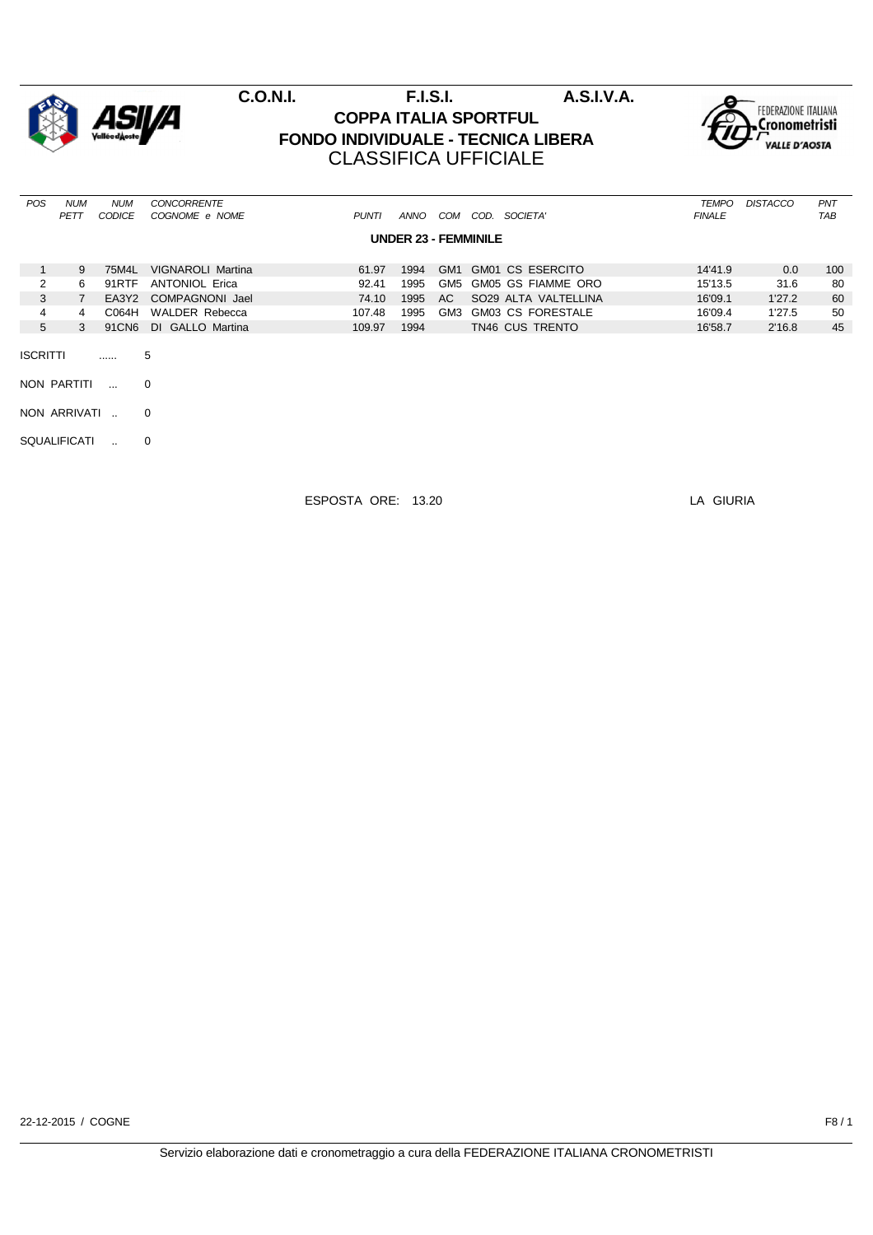

|                 | 9 | 75M4L | <b>VIGNAROLI Martina</b> | 61.97  | 1994 | GM1 | GM01 CS ESERCITO     | 14'41.9 | 0.0    | 100 |
|-----------------|---|-------|--------------------------|--------|------|-----|----------------------|---------|--------|-----|
| 2               | 6 | 91RTF | <b>ANTONIOL Erica</b>    | 92.41  | 1995 | GM5 | GM05 GS FIAMME ORO   | 15'13.5 | 31.6   | 80  |
| 3               |   |       | EA3Y2 COMPAGNONI Jael    | 74.10  | 1995 | AC. | SO29 ALTA VALTELLINA | 16'09.1 | 1'27.2 | 60  |
| 4               | 4 | C064H | WALDER Rebecca           | 107.48 | 1995 | GM3 | GM03 CS FORESTALE    | 16'09.4 | 1'27.5 | 50  |
| 5               | 3 | 91CN6 | DI GALLO Martina         | 109.97 | 1994 |     | TN46 CUS TRENTO      | 16'58.7 | 2'16.8 | 45  |
| <b>ISCRITTI</b> |   |       | 5                        |        |      |     |                      |         |        |     |
| NON PARTITI     |   |       | $\Omega$                 |        |      |     |                      |         |        |     |
|                 |   |       |                          |        |      |     |                      |         |        |     |

NON ARRIVATI .. 0

SQUALIFICATI .. 0

ESPOSTA ORE: 13.20 LA GIURIA

22-12-2015 / COGNE F8 / 1